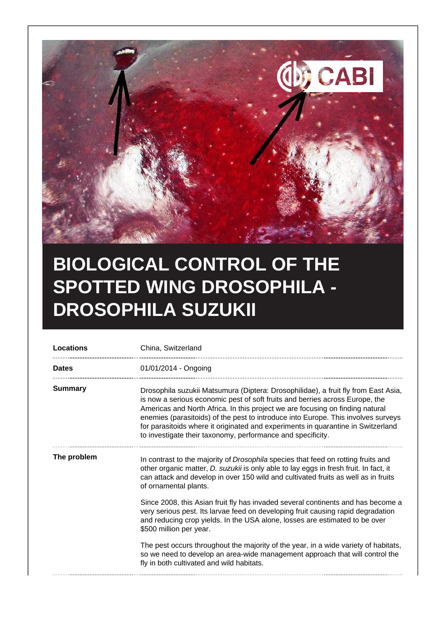

## **BIOLOGICAL CONTROL OF THE SPOTTED WING DROSOPHILA - DROSOPHILA SUZUKII**

| <b>Locations</b> | China, Switzerland                                                                                                                                                                                                                                                                                                                                                                                                                                                                          |
|------------------|---------------------------------------------------------------------------------------------------------------------------------------------------------------------------------------------------------------------------------------------------------------------------------------------------------------------------------------------------------------------------------------------------------------------------------------------------------------------------------------------|
| <b>Dates</b>     | 01/01/2014 - Ongoing                                                                                                                                                                                                                                                                                                                                                                                                                                                                        |
| <b>Summary</b>   | Drosophila suzukii Matsumura (Diptera: Drosophilidae), a fruit fly from East Asia,<br>is now a serious economic pest of soft fruits and berries across Europe, the<br>Americas and North Africa. In this project we are focusing on finding natural<br>enemies (parasitoids) of the pest to introduce into Europe. This involves surveys<br>for parasitoids where it originated and experiments in quarantine in Switzerland<br>to investigate their taxonomy, performance and specificity. |
| The problem      | In contrast to the majority of <i>Drosophila</i> species that feed on rotting fruits and<br>other organic matter, D. suzukii is only able to lay eggs in fresh fruit. In fact, it<br>can attack and develop in over 150 wild and cultivated fruits as well as in fruits<br>of ornamental plants.                                                                                                                                                                                            |
|                  | Since 2008, this Asian fruit fly has invaded several continents and has become a<br>very serious pest. Its larvae feed on developing fruit causing rapid degradation<br>and reducing crop yields. In the USA alone, losses are estimated to be over<br>\$500 million per year.                                                                                                                                                                                                              |
|                  | The pest occurs throughout the majority of the year, in a wide variety of habitats,<br>so we need to develop an area-wide management approach that will control the<br>fly in both cultivated and wild habitats.                                                                                                                                                                                                                                                                            |